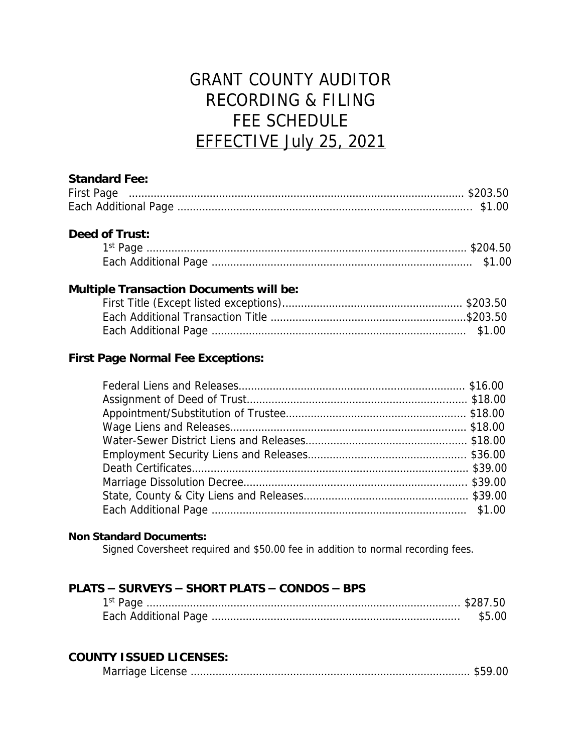# GRANT COUNTY AUDITOR RECORDING & FILING FEE SCHEDULE EFFECTIVE July 25, 2021

#### **Standard Fee:**

| <b>First Page</b> |  |
|-------------------|--|
|                   |  |

#### **Deed of Trust:**

### **Multiple Transaction Documents will be:**

### **First Page Normal Fee Exceptions:**

#### **Non Standard Documents:**

Signed Coversheet required and \$50.00 fee in addition to normal recording fees.

#### **PLATS – SURVEYS – SHORT PLATS – CONDOS – BPS**

#### **COUNTY ISSUED LICENSES:**

|--|